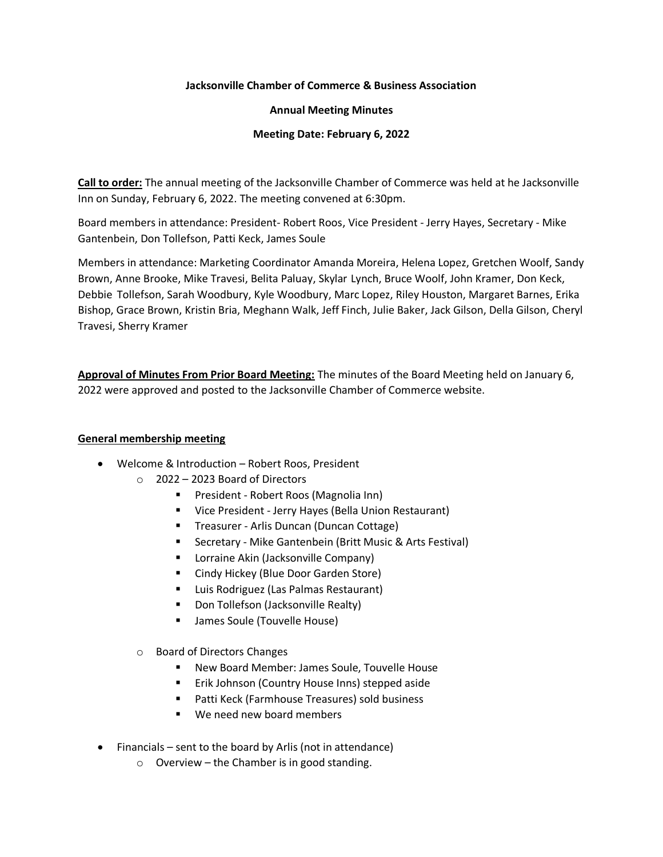## **Jacksonville Chamber of Commerce & Business Association**

## **Annual Meeting Minutes**

## **Meeting Date: February 6, 2022**

**Call to order:** The annual meeting of the Jacksonville Chamber of Commerce was held at he Jacksonville Inn on Sunday, February 6, 2022. The meeting convened at 6:30pm.

Board members in attendance: President- Robert Roos, Vice President - Jerry Hayes, Secretary - Mike Gantenbein, Don Tollefson, Patti Keck, James Soule

Members in attendance: Marketing Coordinator Amanda Moreira, Helena Lopez, Gretchen Woolf, Sandy Brown, Anne Brooke, Mike Travesi, Belita Paluay, Skylar Lynch, Bruce Woolf, John Kramer, Don Keck, Debbie Tollefson, Sarah Woodbury, Kyle Woodbury, Marc Lopez, Riley Houston, Margaret Barnes, Erika Bishop, Grace Brown, Kristin Bria, Meghann Walk, Jeff Finch, Julie Baker, Jack Gilson, Della Gilson, Cheryl Travesi, Sherry Kramer

**Approval of Minutes From Prior Board Meeting:** The minutes of the Board Meeting held on January 6, 2022 were approved and posted to the Jacksonville Chamber of Commerce website.

## **General membership meeting**

- Welcome & Introduction Robert Roos, President
	- $\circ$  2022 2023 Board of Directors
		- President Robert Roos (Magnolia Inn)
		- Vice President Jerry Hayes (Bella Union Restaurant)
		- Treasurer Arlis Duncan (Duncan Cottage)
		- Secretary Mike Gantenbein (Britt Music & Arts Festival)
		- Lorraine Akin (Jacksonville Company)
		- Cindy Hickey (Blue Door Garden Store)
		- Luis Rodriguez (Las Palmas Restaurant)
		- Don Tollefson (Jacksonville Realty)
		- James Soule (Touvelle House)
	- o Board of Directors Changes
		- New Board Member: James Soule, Touvelle House
		- Erik Johnson (Country House Inns) stepped aside
		- Patti Keck (Farmhouse Treasures) sold business
		- We need new board members
- Financials sent to the board by Arlis (not in attendance)
	- o Overview the Chamber is in good standing.